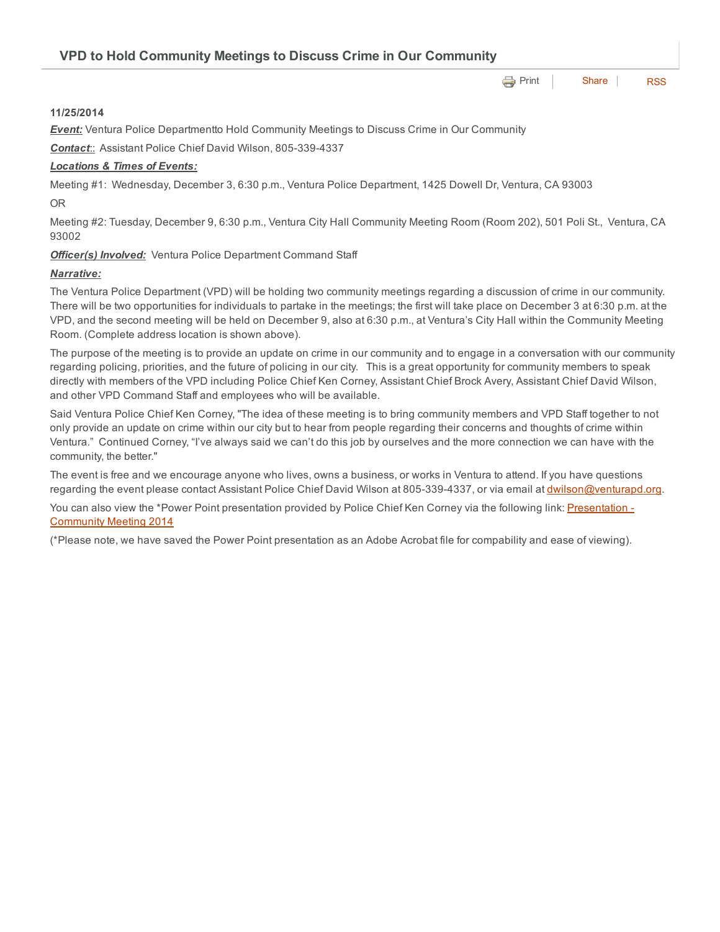| VPD to Hold Community Meetings to Discuss Crime in Our Community |  |                            |  |
|------------------------------------------------------------------|--|----------------------------|--|
|                                                                  |  | <b>e</b> Print Share   RSS |  |

### 11/25/2014

**Event:** Ventura Police Departmentto Hold Community Meetings to Discuss Crime in Our Community

**Contact::** Assistant Police Chief David Wilson, 805-339-4337

#### *Locations & Times of Events:*

Meeting #1: Wednesday, December 3, 6:30 p.m., Ventura Police Department, 1425 Dowell Dr, Ventura, CA 93003 OR

Meeting #2: Tuesday, December 9, 6:30 p.m., Ventura City Hall Community Meeting Room (Room 202), 501 Poli St., Ventura, CA 93002

#### *Officer(s) Involved:* Ventura Police Department Command Staff

#### *Narrative:*

The Ventura Police Department (VPD) will be holding two community meetings regarding a discussion of crime in our community. There will be two opportunities for individuals to partake in the meetings; the first will take place on December 3 at 6:30 p.m. at the VPD, and the second meeting will be held on December 9, also at 6:30 p.m., at Ventura's City Hall within the Community Meeting Room. (Complete address location is shown above).

The purpose of the meeting is to provide an update on crime in our community and to engage in a conversation with our community regarding policing, priorities, and the future of policing in our city. This is a great opportunity for community members to speak directly with members of the VPD including Police Chief Ken Corney, Assistant Chief Brock Avery, Assistant Chief David Wilson, and other VPD Command Staff and employees who will be available.

Said Ventura Police Chief Ken Corney, "The idea of these meeting is to bring community members and VPD Staff together to not only provide an update on crime within our city but to hear from people regarding their concerns and thoughts of crime within Ventura." Continued Corney, "I've always said we can't do this job by ourselves and the more connection we can have with the community, the better."

The event is free and we encourage anyone who lives, owns a business, or works in Ventura to attend. If you have questions regarding the event please contact Assistant Police Chief David Wilson at 805-339-4337, or via email at [dwilson@venturapd.org.](mailto:dwilson@venturapd.org)

You can also view the \*Power Point presentation provided by Police Chief Ken Corney via the following link: [Presentation](http://www.cityofventura.net/files/file/police/VPD%20Comm%20Meeting%20Final%20120314.pdf) -Community Meeting 2014

(\*Please note, we have saved the Power Point presentation as an Adobe Acrobat file for compability and ease of viewing).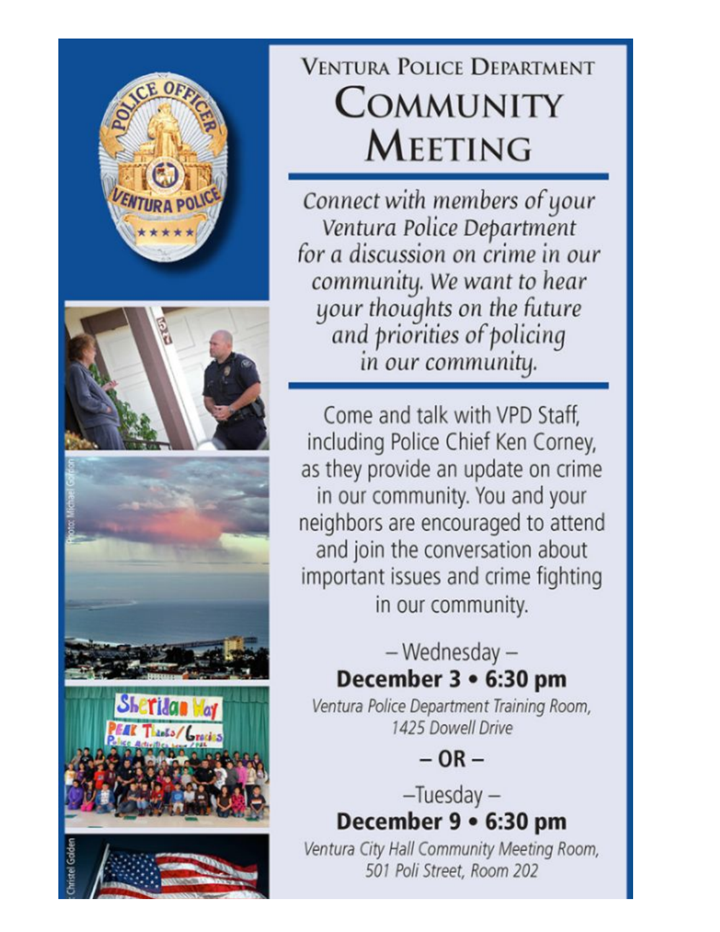

# **VENTURA POLICE DEPARTMENT COMMUNITY MEETING**

Connect with members of your Ventura Police Department for a discussion on crime in our community. We want to hear your thoughts on the future and priorities of policing in our community.

Come and talk with VPD Staff. including Police Chief Ken Corney, as they provide an update on crime in our community. You and your neighbors are encouraged to attend and join the conversation about important issues and crime fighting in our community.

## - Wednesday -December 3 • 6:30 pm

Ventura Police Department Training Room, 1425 Dowell Drive

 $-$  OR  $-$ 

 $-Tuesday -$ December 9 . 6:30 pm

Ventura City Hall Community Meeting Room, 501 Poli Street, Room 202